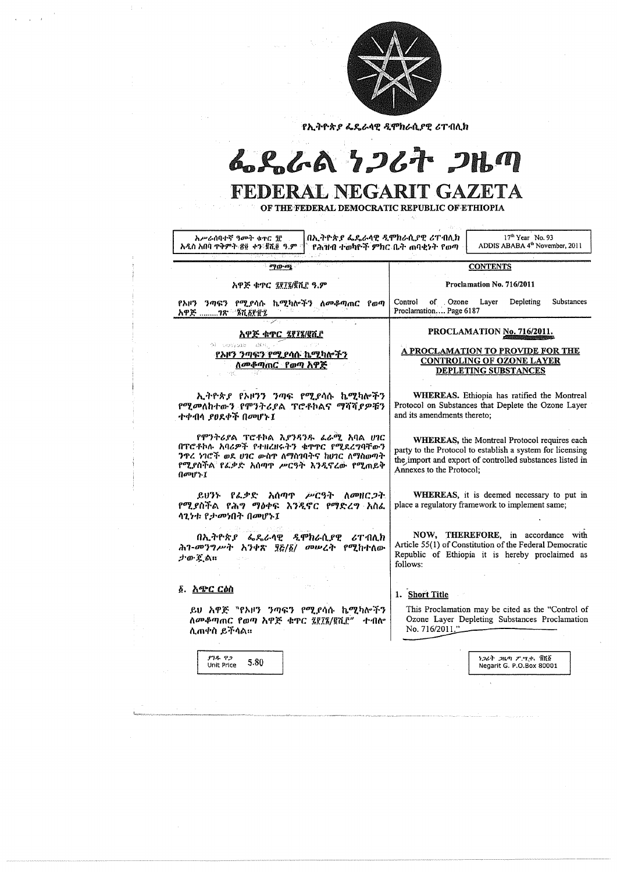

የኢትዮጵያ ፌዴራላዊ ዲሞክራሲያዊ ሪፐብሊክ

# 6.R.GA 7267 2Hm

## FEDERAL NEGARIT GAZETA

OF THE FEDERAL DEMOCRATIC REPUBLIC OF ETHIOPIA

| በኢትዮጵያ ፌዴራሳዊ ዲሞክራሲያዊ ሪፐብሊክ<br>አሥራሰባተኛ ዓመት ቁዋር ዧ<br>አዲስ አበባ ጥቅምት ፳፱ ቀን ፪ሺ፬ ዓ.ም ፡፡<br>የሕዝብ ተወካዮች ምክር ቤት ጠባቂነት የወጣ                                                                                                                                                                                                                                                                                                                                   | $17th$ Year No. 93<br>ADDIS ABABA 4 <sup>th</sup> November, 2011                                                                                                                                          |
|---------------------------------------------------------------------------------------------------------------------------------------------------------------------------------------------------------------------------------------------------------------------------------------------------------------------------------------------------------------------------------------------------------------------------------------------------|-----------------------------------------------------------------------------------------------------------------------------------------------------------------------------------------------------------|
| ማውጫ                                                                                                                                                                                                                                                                                                                                                                                                                                               | <b>CONTENTS</b>                                                                                                                                                                                           |
| አዋጅ ቁጥር ፯፻፲፮/፪ሺ፫ ዓ.ም                                                                                                                                                                                                                                                                                                                                                                                                                              | Proclamation No. 716/2011                                                                                                                                                                                 |
| የአዞን ንጣፍን የሚያሳሱ ኬሚካሎችን ለመቆጣጠር<br>የወጣ<br>አዋጅ 7ጽ <sup>- ⁄</sup> ፮ሺ፩፻፹፯                                                                                                                                                                                                                                                                                                                                                                              | Substances<br>of Ozone<br>Layer<br>Depleting<br><b>Control</b><br>Proclamation Page 6187                                                                                                                  |
| وبالمحرك والم<br>አዋጅ ቁጥር ፯፻፲፮/፪ሺ፫<br>今年 Garyaro (高句)<br><u>የእዞን ንጣፍን የሚያሳሉ ኬሚካሎችን</u><br>ለመቆጣጠር የወጣ አዋጅ                                                                                                                                                                                                                                                                                                                                           | PROCLAMATION No. 716/2011.<br>A PROCLAMATION TO PROVIDE FOR THE<br><b>CONTROLING OF OZONE LAYER</b><br><b>DEPLETING SUBSTANCES</b>                                                                        |
| ኢትዮጵ <i>ያ</i> የኦዞንን ንጣፍ የሚያሳሱ ኬሚካሎችን<br>የሚመለከተውን የሞንትሪያል ፕሮቶኮልና ማሻሻያዎቹን<br>ተቀብላ ያፀደቀች በመሆኑ፤                                                                                                                                                                                                                                                                                                                                                       | WHEREAS. Ethiopia has ratified the Montreal<br>Protocol on Substances that Deplete the Ozone Layer<br>and its amendments thereto;                                                                         |
| የሞንትሪያል ፕሮቶኮል እ <i>ያንጻንዱ ፌራሚ</i> አባል ሀገር<br>በፐሮቶኮሉ አባሪዎች የተዘረዘሩትን ቁዋዋር የሚደረግባቸውን<br>ንዋሪ ነገሮች ወደ ሀገር ውስዋ ለማስገባትና ከሀገር ለማስወጣት<br>የሚያስችል የፌቃድ አሰጣዋ ሥርዓት እንዲኖረው የሚጠይቅ<br>በመሆኑ፤                                                                                                                                                                                                                                                                        | <b>WHEREAS</b> , the Montreal Protocol requires each<br>party to the Protocol to establish a system for licensing<br>the import and export of controlled substances listed in<br>Annexes to the Protocol; |
| - አሰጣጥ <i>ሥ</i> ርዓት ለ <i>መ</i> ዘር <i>ጋ</i> ት<br>ይሆንን የፌቃድ<br>የሚያስችል የሕግ ማዕቀፍ እንዲኖር የማድረግ አስፌ<br>ሳጊነቱ የታመነበት በመሆኑ፤                                                                                                                                                                                                                                                                                                                                 | <b>WHEREAS</b> , it is deemed necessary to put in<br>place a regulatory framework to implement same;                                                                                                      |
| በኢትዮጵያ ፌዴራላዊ ዲሞክራሲያዊ<br>ሪፐብሊክ<br>ሕገ-መንግሥት እንቀጽ ፶፩/፩/ መሠረት<br>የሚከተለው<br>$J$ o $\mathcal{L}$ $\wedge$ u<br>$\mathcal{L}^{\text{max}}_{\text{max}}$ , where $\mathcal{L}^{\text{max}}_{\text{max}}$ and $\mathcal{L}^{\text{max}}_{\text{max}}$ , where $\mathcal{L}^{\text{max}}_{\text{max}}$<br>$\mathcal{L}^{\mathcal{L}}$ and $\mathcal{L}^{\mathcal{L}}$ and $\mathcal{L}^{\mathcal{L}}$ are the set of the set of $\mathcal{L}^{\mathcal{L}}$ | NOW, THEREFORE, in accordance with<br>Article 55(1) of Constitution of the Federal Democratic<br>Republic of Ethiopia it is hereby proclaimed as<br>follows:                                              |
| $\label{eq:2} \frac{1}{2} \int_{\mathbb{R}^3} \frac{d\mu}{\mu} \left( \frac{d\mu}{\mu} \right) \frac{d\mu}{\mu} \left( \frac{d\mu}{\mu} \right) \frac{d\mu}{\mu} \left( \frac{d\mu}{\mu} \right) \frac{d\mu}{\mu} \left( \frac{d\mu}{\mu} \right) \frac{d\mu}{\mu} \left( \frac{d\mu}{\mu} \right) \frac{d\mu}{\mu} \left( \frac{d\mu}{\mu} \right) \frac{d\mu}{\mu} \left( \frac{d\mu}{\mu} \right) \frac{d\mu}{\mu} \left$<br>፩. <u>አጭር ርዕስ</u> | 1. Short Title                                                                                                                                                                                            |
| ይሀ አዋጅ "የኦዞን ንጣፍን የሚያሳሱ ኬሚካሎችን<br>ለመቆጣጠር የወጣ አዋጅ ቁጥር ፯፻፲፮/፪ሺ፫" ተብሎ<br>ሊጠቀስ ይችሳል።                                                                                                                                                                                                                                                                                                                                                                  | This Proclamation may be cited as the "Control of<br>Ozone Layer Depleting Substances Proclamation<br>No. 716/2011."                                                                                      |

ኖንዱ ዋጋ

ነጋሪት ጋዜጣ ፖ.ሣ.ቃ. ፱ሺ፩



 $\mathcal{L}^{\mathcal{L}}(\mathcal{L}^{\mathcal{L}})$  . In the  $\mathcal{L}^{\mathcal{L}}(\mathcal{L}^{\mathcal{L}})$ 

 $\sim$ 

 $\frac{1}{4}$  ,  $\frac{1}{2}$ 

 $\sim$ 

 $\label{eq:2} \frac{1}{\sqrt{2\pi}}\int_{0}^{\infty}\frac{1}{\sqrt{2\pi}}\left(\frac{1}{\sqrt{2\pi}}\right)^{2}d\mu\,d\mu\,d\mu\,.$ 

## Negarit G. P.O.Box 80001

 $\label{eq:2.1} \frac{1}{\sqrt{2}}\int_{\mathbb{R}^3}\frac{1}{\sqrt{2}}\left(\frac{1}{\sqrt{2}}\right)^2\frac{1}{\sqrt{2}}\left(\frac{1}{\sqrt{2}}\right)^2\frac{1}{\sqrt{2}}\left(\frac{1}{\sqrt{2}}\right)^2.$ 

 $\frac{1}{2} \frac{1}{2} \left( \frac{1}{2} \mathbf{x} \right)$ 

י<br>הוא היינו איינו איינו איינו איינו איינו איינו איינו איינו איינו איינו איינו איינו איינו איינו איינו איינו איינ<br>הוא היינו איינו איינו איינו איינו איינו איינו איינו איינו איינו איינו איינו איינו איינו איינו איינו איינו אי

a composito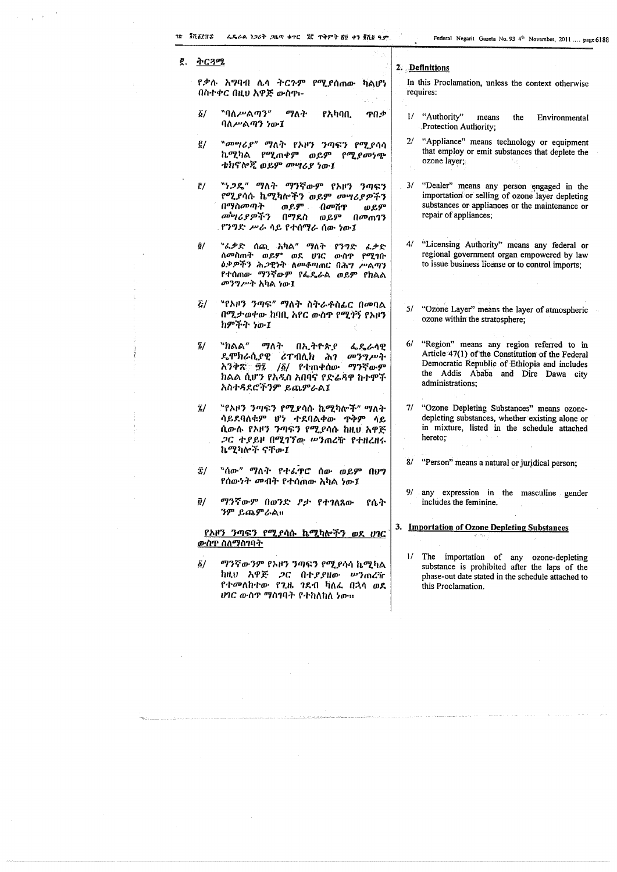$\label{eq:2} \mathcal{F} = \mathcal{F} \left( \frac{1}{\sqrt{2\pi}} \sum_{i=1}^N \frac{1}{\sqrt{2\pi}} \right)^{1/2}$ 

 $\sim$ 

 $\mathcal{L}$ 

 $\sim$ 

| ĝ. | <u>ትርጓሚ</u>             |                                                                                                                                                                                 | 2. Definitions                                                                                                                                                                                            |
|----|-------------------------|---------------------------------------------------------------------------------------------------------------------------------------------------------------------------------|-----------------------------------------------------------------------------------------------------------------------------------------------------------------------------------------------------------|
|    |                         | የቃሉ አግባብ ሌላ ትርጉም የሚያሰጠው ካልሆነ<br>በስተቀር በዚህ አዋጅ ውስዋ፡-                                                                                                                             | In this Proclamation, unless the context otherwise<br>requires:                                                                                                                                           |
|    | $\vec{\Delta}$          | <sup></sup> "ባለ <i>ሥ</i> ልማን"<br>ማለት<br>የአካባቢ<br>ዋበቃ<br>ባለሥልጣን ነው፤                                                                                                              | 1/ "Authority"<br>means<br>the<br>Environmental<br>.Protection Authority;                                                                                                                                 |
|    | $\frac{p}{2}$           | <sup>"</sup> መሣሪያ" ማለት የአዞን ንጣፍን የሚያሳሳ<br>ኬሚካል የሚጠቀም ወይም የሚ <i>ያመነ</i> ጭ<br>ቴክኖሎጂ ወይም መሣሪያ ነው፤                                                                                  | 2/ "Appliance" means technology or equipment<br>that employ or emit substances that deplete the<br>ozone layer;                                                                                           |
|    | $\bar{\Gamma}/$         | <b><sup>"</sup>ነ<i>ጋ</i>ዴ" ማለት ማንኛውም የአዞን ን</b> ጣፍን<br>የሚያሳሱ ኬሚካሎችን ወይም መሣሪያዎችን<br>በማስመጣት<br>ወይም በመሸዋ<br>ወይም<br><i>መካሪያዎችን</i> በማደስ<br>ወይም<br>በመጠገን<br>.የንግድ ሥራ ሳይ የተሰማራ ሰው ነው፤ | 3/ "Dealer" means any person engaged in the<br>importation or selling of ozone layer depleting<br>substances or appliances or the maintenance or<br>repair of appliances:                                 |
|    | $\tilde{Q}/$            | <sup></sup> `'ፌቃድ ሰጪ አካል" ማለት የንግድ<br>ፈቃድ<br>ለ <i>መ</i> ስጠት ወይም ወደ ሀገር<br>ውስጥ<br>የሚገቡ<br>ዕቃዎችን ሕ <i>ጋ</i> ዊነት ለመቆጣጠር በሕግ ሥልጣን<br>የተሰጠው ማንኛውም የፌዴራል ወይም የክልል<br>መንግሥት አካል ነው፤    | 4/ "Licensing Authority" means any federal or<br>regional government organ empowered by law<br>to issue business license or to control imports;                                                           |
|    | $\mathbf{z}/\mathbf{z}$ | "የኦዞን <i>ንጣፍ" ማ</i> ለት ስትራቶስፌር በመባል<br>በሚታወቀው ከባቢ አየር ውስዋ የሚገኝ የአዞን<br>ከምችት ነው፤                                                                                                 | 5/ "Ozone Layer" means the layer of atmospheric<br>ozone within the stratosphere;                                                                                                                         |
|    | $\frac{7}{2}$           | <sup></sup> "ክልል" ማለት<br>በኢትዮጵያ<br>ፌዴራሳዊ<br>ዴሞክራሲያዊ ሪፐብሊክ<br>መንግሥት<br>ሕገ<br>ማንኛውም<br>አንቀጽ ፵፯ /፩/ የቲጠቀሰው<br>ክልል ሲሆን የአዲስ አበባና የድሬዳዋ ከተሞች<br>አስተዳደሮችንም ይጨምራል፤                     | 6/ "Region" means any region referred to in<br>Article 47(1) of the Constitution of the Federal<br>Democratic Republic of Ethiopia and includes<br>the Addis Ababa and Dire Dawa city<br>administrations; |
|    | Ϊ/                      | "የኦዞን ንጣፍን የሚያሳሱ ኬሚካሎች" ማለት<br>ሳይደባለቁም ሆነ ተደባልቀው ዋቅም ሳይ<br>ሲውሉ የኦዞን ንጣፍን የሚያሳሱ ከዚህ አዋጅ<br><i>ጋ</i> ር ተያይዞ በሚገኘው ሥንጠረዥ የተዘረዘሩ<br>ኬሚካሎች ናቸው፤                                      | 7/ "Ozone Depleting Substances" means ozone-<br>depleting substances, whether existing alone or<br>in mixture, listed in the schedule attached<br>hereto;                                                 |
|    | 实/                      | "ሰው" ማለት የተፌዋሮ ሰው ወይም በሀግ<br>የሰውነት መብት የተሰጠው አካል ነው፤                                                                                                                            | 8/ "Person" means a natural or juridical person;                                                                                                                                                          |
|    | $\bar{g}/$              | ማንኛውም በወንድ ዖታ የተገለጸው<br>የሴት<br>ንም ይጨምራል።                                                                                                                                        | 9/ any expression in the masculine gender<br>includes the feminine.                                                                                                                                       |
|    |                         | <u>የአዞን ንጣፍን የሚያሳሱ ኬሚካሎችን ወደ ሀገር</u><br>ውስዋ ስለማስገባት                                                                                                                             | 3. Importation of Ozone Depleting Substances                                                                                                                                                              |
|    | $\tilde{\mathbf{Q}}$ /  | ማንኛውንም የአዞን ንጣፍን የሚያሳሳ ኬሚካል<br>ከዚህ አዋጅ <i>ጋ</i> ር በተ <i>ያያዘው ሥን</i> ጠረዥ<br>የተመለከተው የጊዜ ገደብ ቫለፌ በኋላ ወደ<br><i>ህገር ውስጥ ማስገ</i> ባት የተከለከለ ነው።                                       | The importation of any ozone-depleting<br>$\mathcal{U}$<br>substance is prohibited after the laps of the<br>phase-out date stated in the schedule attached to<br>this Proclamation.                       |

Т

.<br>Metallische experimente alle de la college volgen de manner den metalle de de la college volgen de la verden d

 $\label{eq:2.1} \frac{1}{\sqrt{2}}\left(\frac{1}{\sqrt{2}}\right)^{2} \left(\frac{1}{\sqrt{2}}\right)^{2} \left(\frac{1}{\sqrt{2}}\right)^{2} \left(\frac{1}{\sqrt{2}}\right)^{2} \left(\frac{1}{\sqrt{2}}\right)^{2} \left(\frac{1}{\sqrt{2}}\right)^{2} \left(\frac{1}{\sqrt{2}}\right)^{2} \left(\frac{1}{\sqrt{2}}\right)^{2} \left(\frac{1}{\sqrt{2}}\right)^{2} \left(\frac{1}{\sqrt{2}}\right)^{2} \left(\frac{1}{\sqrt{2}}\right)^{2} \left(\$ 

 $\label{eq:2.1} \mathcal{L}(\mathcal{L}(\mathcal{L}))=\mathcal{L}(\mathcal{L}(\mathcal{L}))=\mathcal{L}(\mathcal{L}(\mathcal{L}))=\mathcal{L}(\mathcal{L}(\mathcal{L}))=\mathcal{L}(\mathcal{L}(\mathcal{L}))=\mathcal{L}(\mathcal{L}(\mathcal{L}))=\mathcal{L}(\mathcal{L}(\mathcal{L}))=\mathcal{L}(\mathcal{L}(\mathcal{L}))=\mathcal{L}(\mathcal{L}(\mathcal{L}))=\mathcal{L}(\mathcal{L}(\mathcal{L}))=\mathcal{L}(\mathcal{L}(\mathcal{L}))=\mathcal{L}(\mathcal{L}(\$ 

 $\sim$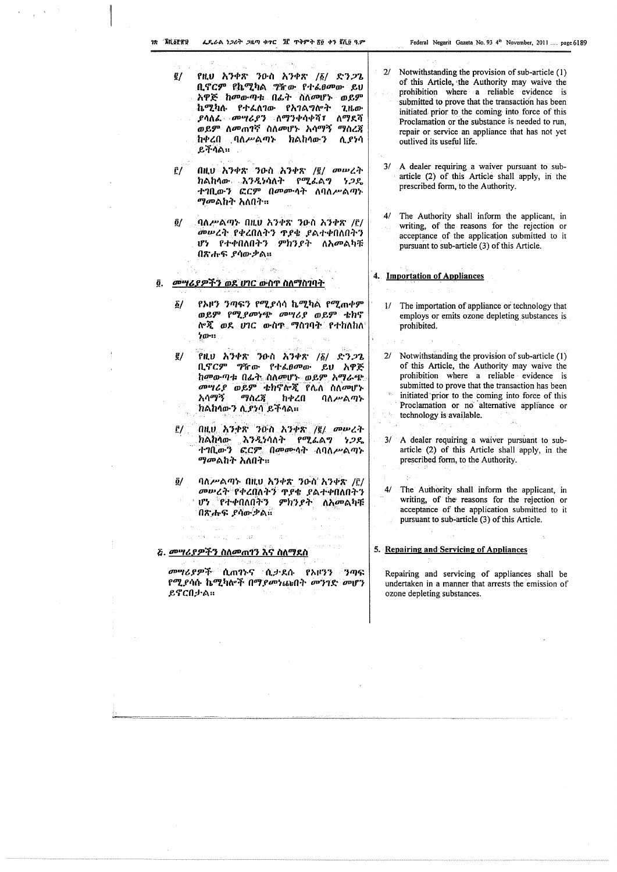$\label{eq:2.1} \begin{split} \mathcal{A}^{(1)} & = \frac{1}{\sqrt{2}} \left( \frac{1}{\sqrt{2}} \right)^{1/2} \mathcal{A}^{(1)} \end{split}$ 

 $\sim$ 

 $\alpha$ 

 $\bar{\beta}$ 

 $\sim$ 

 $\frac{1}{2}$  $\mathbf{A}$ 

 $\alpha$ 

 $\frac{1}{2}$ 

 $\frac{1}{4}$ 

 $\sim$ 

| $\mathcal{L}^{\text{max}}_{\text{max}}$ , where $\mathcal{L}^{\text{max}}_{\text{max}}$<br>g/<br>የዚህ አንቀጽ ንዑስ አንቀጽ /፩/ ድንጋጌ<br>ቢኖርም የኬሚካል <i>ግ</i> ዥው የተፈፀመው ይህ<br>አዋጅ ከመውጣቱ በፊት ስለመሆኑ ወይም<br>ኬሚካሉ የተፈለገው የአገልግሎት<br>ጊዜው<br>ለማደሻ<br><i>ያሳለፌ - መሣሪያን - ለማንቀሳቀሻ፣</i><br>ወይም ለመጠገኛ ስለመሆኑ አሳማኝ<br>ማስረጃ<br>ከቀረበ ባለሥልጣኑ ክልከሳውን<br>ሲያነሳ<br>ይቸሳል። | 2/ Notwithstanding the provision of sub-article (1)<br>of this Article, the Authority may waive the<br>prohibition where a reliable evidence is<br>submitted to prove that the transaction has been<br>initiated prior to the coming into force of this<br>Proclamation or the substance is needed to run,<br>repair or service an appliance that has not yet<br>outlived its useful life. |
|-------------------------------------------------------------------------------------------------------------------------------------------------------------------------------------------------------------------------------------------------------------------------------------------------------------------------------------------|--------------------------------------------------------------------------------------------------------------------------------------------------------------------------------------------------------------------------------------------------------------------------------------------------------------------------------------------------------------------------------------------|
| በዚህ አንቀጽ ንዑስ አንቀጽ /፪/ መሥረት<br>$\tilde{\Gamma}/$<br>ክልከሳው እንዲነሳለት የሚሬል <b>ግ</b><br>ነጋዴ<br>ተገቢውን ፎርም በመሙሳት ለባለሥልጣኑ<br><i>ማመ</i> ልክት አለበት።                                                                                                                                                                                                   | A dealer requiring a waiver pursuant to sub-<br>3/<br>article (2) of this Article shall apply, in the<br>prescribed form, to the Authority.                                                                                                                                                                                                                                                |
| ባለሥልጣኑ በዚህ አንቀጽ ንዑስ አንቀጽ /፫/<br>ĝ/<br>መሠረት የቀረበለትን ዋደቄ ደልተቀበለበትን<br>ሆነ የተቀበለበትን ምክንያት ለአመልካቹ<br>በጽሑፍ ያሳውቃል።                                                                                                                                                                                                                               | The Authority shall inform the applicant, in<br>4/<br>writing, of the reasons for the rejection or<br>acceptance of the application submitted to it<br>pursuant to sub-article (3) of this Article.                                                                                                                                                                                        |
| መሣሪያዎችን ወደ ሀገር ውስጥ ስለማስገባት<br>ĝ.                                                                                                                                                                                                                                                                                                          | 4. Importation of Appliances                                                                                                                                                                                                                                                                                                                                                               |
| የአዞን ንጣፍን የሚያሳሳ ኬሚካል የሚጠቀም<br>$\sum$<br>ወይም የሚያመነጭ መሣሪያ ወይም ቴክኖ<br>ሎጂ <i>ወደ ሀገር ውስ</i> ጥ <i>ግ</i> ስገባ <u>ት የተከለከለ</u><br>ንው።                                                                                                                                                                                                              | The importation of appliance or technology that<br>1/<br>employs or emits ozone depleting substances is<br>prohibited.                                                                                                                                                                                                                                                                     |
| William<br>g/<br>የዚህ አንቀጽ ንዑስ አንቀጽ /፩/<br><b>ድንጋጌ</b><br>ቢኖርም ግዥው የተፈፀመው<br>ይሀ አዋጅ<br>ከመውጣቱ በፊት ስለመሆኑ ወይም አማራጭ<br><i>መግሪያ ወይም ቴክ</i> ኖሎጂ የሌለ ስለመሆኑ<br>አሳማኝ ማስረጃ<br>ከቀረበ<br>ባለሥልጣኑ<br>ክልከሳውን ሊያነሳ ይችሳል።                                                                                                                                    | 2/ Notwithstanding the provision of sub-article (1)<br>of this Article, the Authority may waive the<br>prohibition where a reliable evidence is<br>submitted to prove that the transaction has been<br>initiated prior to the coming into force of this<br>Proclamation or no alternative appliance or<br>technology is available.                                                         |
| በዚህ አንቀጽ ንዑስ አንቀጽ /፪/ መሠረት<br><u>r/</u><br>ክልከሳው <b>እንዲ</b> ነሳለት የሚፈልግ<br>ነ ጋዴ<br>ተገቢውን ፎርም በመሙላት ለባለሥልጣኑ<br><i>ማመ</i> ልክት አለበት።                                                                                                                                                                                                          | $3/$ A dealer requiring a waiver pursuant to sub-<br>article (2) of this Article shall apply, in the<br>prescribed form, to the Authority.                                                                                                                                                                                                                                                 |
| ባለሥልጣኑ በዚህ አንቀጽ ንዑስ አንቀጽ /፫/<br>$\tilde{g}/\Gamma$<br>መሥረት የቀረበለትን ዋያቄ ያልተቀበለበትን<br>ሆነ የተቀበለበትን ምክንያት ለአመልካቹ<br>በጽሑፍ ደባውቃል።<br>大家的 网络复数 网络人名拜尔                                                                                                                                                                                            | 4/ The Authority shall inform the applicant, in<br>writing, of the reasons for the rejection or<br>acceptance of the application submitted to it<br>pursuant to sub-article (3) of this Article.                                                                                                                                                                                           |
|                                                                                                                                                                                                                                                                                                                                           | 5. Repairing and Servicing of Appliances                                                                                                                                                                                                                                                                                                                                                   |
| - 1653 : 2010. L<br><i>መሣሪያዎች ሲ</i> ጠንና ሲታደሱ የአዞንን ንጣፍ<br>የሚያሳሱ ኬሚካሎች በማ <i>ያመነ</i> ጩበት መንገድ መሆን<br>ይኖርበታል።                                                                                                                                                                                                                               | Repairing and servicing of appliances shall be<br>undertaken in a manner that arrests the emission of<br>ozone depleting substances.                                                                                                                                                                                                                                                       |
|                                                                                                                                                                                                                                                                                                                                           |                                                                                                                                                                                                                                                                                                                                                                                            |

 $\mathcal{A}^{\mathcal{A}}$  $\sim$ 

 $\bar{z}$ 

 $\hat{\mathcal{A}}_i$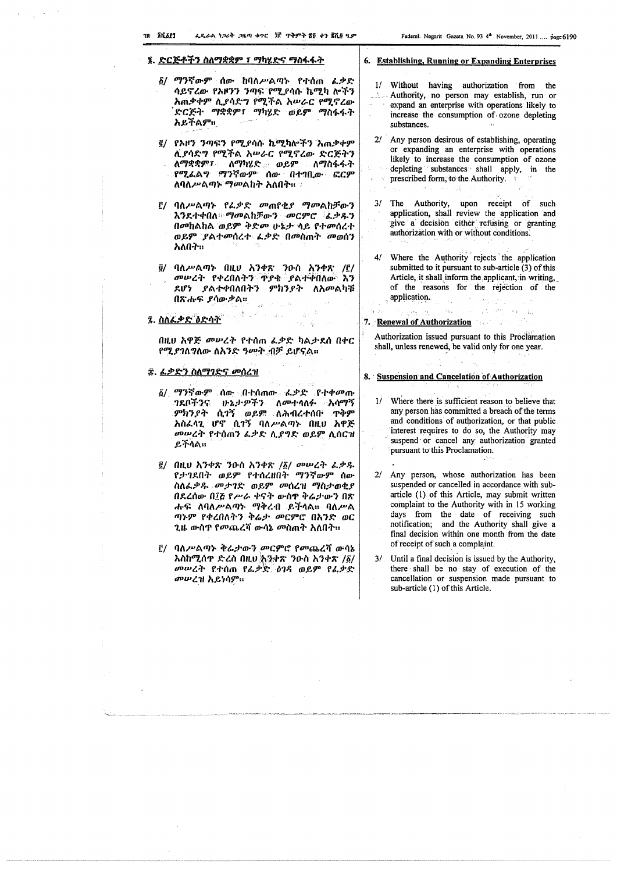## <u> ፮. ድርጅቶችን ስለማቋቋም ፣ ማካሂድና ማስፋፋት</u>

- ፩/ ማንኛውም ሰው ከባለሥልጣኑ የተሰጠ *ፌ*ቃድ ሳይኖረው የአዞንን ንጣፍ የሚያሳሱ ኬሚካ ሎችን አጠቃቀም ሲያሳድግ የሚችል አሥራር የሚኖረው ድርጅት ማቋቋም፣ ማካሂድ ወይም ማስፋፋት አይችልም።
- ፪/ የኦዞን ንጣፍን የሚያሳሱ ኬሚካሎችን አጠቃቀም ሲያሳድግ የሚችል አሥራር የሚኖረው ድርጅትን ለማቋቋም፣ ለማካሄድ ወይም ለማስፋፋት የሚፌልግ ማንኛውም ሰው በተገቢው ፎርም ለባለሥልማኑ ማመልከት አለበት። ።
- ፫/ ባለሥልጣኑ የፌቃድ መጠየቂያ ማመልከቻውን እንደተቀበለ ማመልከቻውን መርምሮ ፌቃዱን በመከልከል ወይም ቅድመ ሁኔታ ላይ የተመሰረተ ወይም ያልተመሰረተ ፌቃድ በመስጠት መወሰን አለበት።
- ፬/ ባለሥልጣኑ በዚህ አንቀጽ ንዑስ አንቀጽ /፫/ መሥረት የቀረበለትን ጥያቄ ያልተቀበለው እን ደሆነ ያልተቀበለበትን ምክንያት ለአመልካቹ በጽሑፍ ያሳውቃል።

## ፯. ስለፌቃድ ዕድሳት

በዚሀ አዋጅ መሥረት የተሰጠ ፌቃድ ካልታደሰ በቀር የሚያገለግለው ለአንድ ዓመት ብቻ ይሆናል።

information of the

## ፰. ፌቃድን ስለማገድና መሰረዝ

- ፩/ ማንኛውም ሰው በተሰጠው ፌቃድ የተቀመጡ *ገ*ደቦችንና ሁኔታ*ዎ*ችን ለመተላለፉ አሳማኝ ምክንያት ሲገኝ ወይም ለሕብረተሰቡ ጥቅም አስፌሳጊ ሆኖ ሲገኝ ባለሥልጣኑ በዚሀ አዋጅ መሥረት የተሰጠን ፌቃድ ሲያግድ ወይም ሲሰርዝ ይችሳል።
- ፪/ በዚህ አንቀጽ ንዑስ አንቀጽ /፩/ መሠረት ፌቃዱ የታገደበት ወይም የተሰረዘበት ማንኛውም ሰው ስለፌቃዱ መታገድ ወይም መሰረዝ ማስታወቂያ በደረሰው በ፲፭ የሥራ ቀናት ውስዋ ቅሬታውን በጽ ሑፍ ለባለሥልጣኑ ማቅረብ ይችላል። ባለሥል ጣኑም የቀረበለትን ቅሬታ መርምሮ በእንድ ወር ጊዜ ውስዋ የመጨረሻ ውሳኔ መስጠት አለበት።
- ፫/ ባለሥልጣኑ ቅሬታውን መርምሮ የመጨረሻ ውሳኔ እስከሚሰዋ ድረስ በዚህ እንቀጽ ንዑስ አንቀጽ /፩/ መሠረት የተሰጠ የፌቃድ ዕገዳ ወይም የፌቃድ *መሠረዝ እይነሳም*።

## 6. Establishing, Running or Expanding Enterprises

- 1/ Without having authorization from the - Authority, no person may establish, run or expand an enterprise with operations likely to increase the consumption of ozone depleting substances.
- 2/ Any person desirous of establishing, operating or expanding an enterprise with operations likely to increase the consumption of ozone depleting substances shall apply, in the **prescribed form, to the Authority.** Service of
- 3/ The Authority, upon receipt of such application, shall review the application and give a decision either refusing or granting authorization with or without conditions.
- Where the Authority rejects the application submitted to it pursuant to sub-article (3) of this Article, it shall inform the applicant, in writing, of the reasons for the rejection of the application.  $\mathcal{L}_\mathbf{a}$  .  $\chi \sim 0.3$

## 医新生物 网络无尾 网络人民的复数 医精神病 7. Renewal of Authorization

ホーマー

**Production** 

Authorization issued pursuant to this Proclamation shall, unless renewed, be valid only for one year.

in f

## 8. Suspension and Cancelation of Authorization ਿ ਉਪਰ

- 1/ Where there is sufficient reason to believe that any person has committed a breach of the terms and conditions of authorization, or that public interest requires to do so, the Authority may suspend or cancel any authorization granted pursuant to this Proclamation.
- 2/ Any person, whose authorization has been suspended or cancelled in accordance with subarticle (1) of this Article, may submit written complaint to the Authority with in 15 working days from the date of receiving such notification; and the Authority shall give a final decision within one month from the date of receipt of such a complaint.
- 3/ Until a final decision is issued by the Authority, there shall be no stay of execution of the cancellation or suspension made pursuant to sub-article (1) of this Article.

 $\sim 10^6$  $\mathcal{L}(\mathcal{A})$  and  $\mathcal{L}(\mathcal{A})$  are  $\mathcal{L}(\mathcal{A})$  .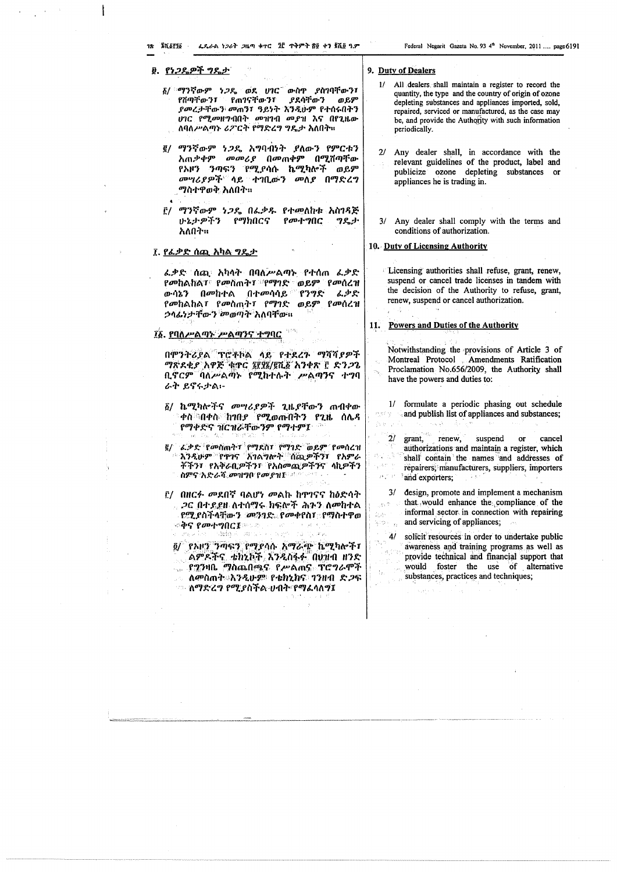## <u>፱. የነጋዴዎች ግዴታ</u>

- ፩/ ማንኛውም *ነጋ*ዴ ወደ ሀገር ውስዋ ያስገባቸውን፣ የሽጣቸውን፣ የጠገናቸውን፣ ያደሳቸው ን ወይም ያመረታቸውን መጠን፣ ዓይነት እንዲሁም የተሰሩበትን ሆገር የሚመዘግብበት መዝገብ መያዝ እና በየጊዜው ለባለሥልጣኑ ሪፖርት የማድረግ ግዴታ አለበት።
- ፪/ ማንኛውም ነጋዴ አግባብነት ያለውን የምርቱን አጠቃቀም መመሪያ በመጠቀም በሚሽጣቸው *የኦዞን ንጣፍን የሚያሳ*ሱ ኬሚካሎች ወይም መሣሪያዎች<sup>።</sup> ሳይ ተገቢውን መለያ በማድረግ ማስተዋወቅ አለበት።
- ፫/ ማንኛውም ነጋዴ በፌቃዱ የተመለከቱ አስገዳጅ ሁኔታዎችን የማክበርና የመተግበር ግዴታ አለበት።

## ፲. <u>የፌቃድ ሰጪ አካል ግዴታ</u>

 $\mathbf{A}$   $\mathbf{A}$ 

ፌቃድ ሰጪ አካላት በባለሥልጣኑ የተሰጠ ፌቃድ *የመከልከል፣ የመስ*ጠት፣ የማገድ ወይም የመሰረዝ ውሳኔን በመከተል በተመሳሳይ የንግድ ፈቃድ የመከልከል፣ የመስጠት፣ የማገድ ወይም የመሰረዝ ኃላፊነታቸውን መወጣት አለባቸው።

## ፲፩. የባለሥልጣት ሥልጣንና ተግባር

በሞንትሪያል ፕሮቶኮል ላይ የተደረጉ ማሻሻያዎች ማጽደቂያ አዋጅ ቂዋር ፮፻፶፮/፪ሺ፩ አንቀጽ ፫ ድንጋጌ ቢኖርም ባለሥልጣኑ የሚከተሉት ሥልጣንና ተግባ ራት ይኖሩታል፦

- ፩/ ኬሚካሎችና መሣሪያዎች ጊዜያቸውን ጠብቀው ቀስ ባቀሱ ከገበ*ያ የሚ*ወጡበትን የጊዜ ሰሌዳ የማቀድና ዝርዝራቸውንም የማተም፤
- ፪/ ፌቃድ የመስጠት፣ የማደስ፣ የማገድ ወይም የመሰረዝ እንዲሁም የጥገና አገልግሎት ሰጪዎችን፣ የአምራ ቾችን፣ የአቅራቢዎችን፣ የአስመጪዎችንና ላኪዎችን ስምና አድራሻ *መዝግቦ የመያዝ*ው መውጣ የ
- <u>i</u>/ በዘርፉ መደበኛ ባልሆነ መልኩ ከዋገናና ከዕድሳት *ጋ*ር በተደደዜ ለተሰማሩ ክፍሎች ሕጉን ለመከተል የሚያስችላቸውን መንገድ የመቀየስ፣ የማስተዋወ ጜ**ቅና የመተግበር፤**መልክ የተመሰጡ ነው የተ o rekulas stringe manus estas su quan

፬/ የኦዞን ንጣፍን የማያሳሱ አማራጭ ኬሚካሎች፣ ልምዶችና ቴክኒኮች እንዲስፋፉ በሀዝብ ዘንድ <sub>ം</sub> የ2ንዛቤ ማስጨበጫና የሥልሐና ፐሮግራሞች \_\_\_ ለ*መ*ስጠት እንዲሁ*ም የቴክኒክና ገን*ዘብ ድ*ጋ*ፍ ፡፡፡ ለማድረ*ግ የሚያስችል* ሀብት የማፌሳለግ፤

### 9. Duty of Dealers

- 1/ All dealers shall maintain a register to record the quantity, the type and the country of origin of ozone depleting substances and appliances imported, sold, repaired, serviced or manufactured, as the case may be, and provide the Authority with such information periodically.
- Any dealer shall, in accordance with the  $2/$ relevant guidelines of the product, label and publicize ozone depleting substances or appliances he is trading in.
- 3/ Any dealer shall comply with the terms and conditions of authorization.

## 10. Duty of Licensing Authority

Licensing authorities shall refuse, grant, renew, suspend or cancel trade licenses in tandem with the decision of the Authority to refuse, grant, renew, suspend or cancel authorization.

#### Powers and Duties of the Authority 11.

**CALL LESS** 

经验

 $\frac{1}{2} \frac{1}{2} \lambda^{-\frac{1}{2}}$ 

 $\frac{1}{2} \sum_{\alpha \in \mathcal{A}} \frac{1}{\alpha} \mathcal{A}_{\alpha}$ 

국민화

Notwithstanding the provisions of Article 3 of Montreal Protocol Amendments Ratification Proclamation No.656/2009, the Authority shall have the powers and duties to:

1/ formulate a periodic phasing out schedule and publish list of appliances and substances;

in Burns e

 $r$  renew,  $2l$ suspend cancel grant,  $or$ authorizations and maintain a register, which shall contain the names and addresses of  $x^{14}$  (1) repairers, manufacturers, suppliers, importers  $\mathcal{Q}^{\frac{m}{2}-\frac{m}{2}}$  ,  $\mathbb{R}^2$ and exporters; 一度型の

 $3/$ design, promote and implement a mechanism that would enhance the compliance of the informal sector in connection with repairing and servicing of appliances;

 $4/$ solicit resources in order to undertake public awareness and training programs as well as provide technical and financial support that would foster the use of alternative substances, practices and techniques;

 $\frac{1}{2}$  ,  $\frac{1}{2}$  ,  $\frac{1}{2}$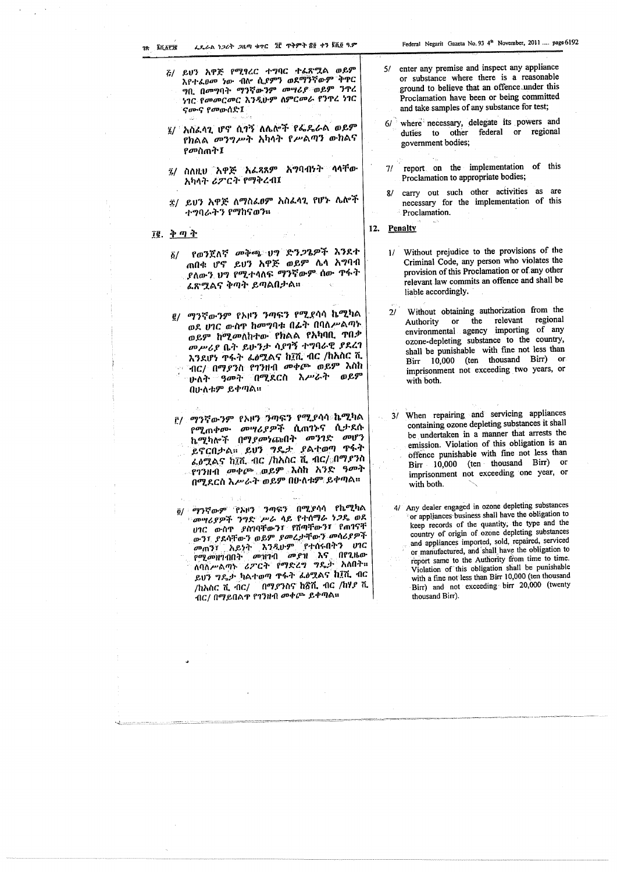- <u>ሯ/ ይህን አዋጅ የሚፃረር ተግባር ተፌጽሟል ወይም</u> እየተፈፀመ ነው ብሎ ሲ*ያምን* ወደማንኛውም ቅዋር ግቢ በመግባት ማንኛውንም መሣሪያ ወይም ንዋረ ነገር የመመርመር እንዲሁም ስምርመራ የንዋረ ነገር ናሙና የመውሰድ፤
- 3/ አስፈላጊ ሆኖ ሲገኝ ለሌሎች የፌዴራል ወይም የክልል መንግሥት አካላት የሥልጣን ውክልና የመስጠት፤
- *፯/* ስለዚህ አዋጅ አሬጻጸም አማባብነት ሳሳቸው አካላት ሪፖርት የማቅረብ፤
- ፰/ ይህን አዋጅ ለማስፌፀም አስፌላጊ የሆኑ ሌሎች ተግባራትን የማከናወን።
- Il. ቅጣት
	- የወንጀለኛ መቅጫ ህግ ድን*ጋ*ጌዎች እንደተ  $\delta/$ **ጠበቁ ሆኖ ይህን አዋጅ ወይም ሌሳ አግባብ** ያለውን ህግ የሚተላለፍ ማንኛውም ሰው ዋፋት ፌጽሟልና ቅጣት ይጣልበታል።

g/ ማንኛውንም የአዞን ንጣፍን የሚደሳሳ ኬሚካል ወደ ሀገር ውስጥ ከመግባቱ በፊት በባለሥልጣኑ ወይም ከሚመለከተው የክልል የአካባቢ ተበቃ መሥሪያ ቤት ይሁንታ ሳያገኝ ተግባራዊ ያደረገ እንደሆነ ዋፋት ፌፅሟልና ከ፲ሺ ብር /ከአስር ሺ ግር/ በማ*ያን*ስ የ1ንዘብ መቀጮ ወይም እስከ ሁለት *ዓመት* በሚደርስ አሥራት ወይም በሁለቱም ይቀጣል።

- ፫/ ማንኛውንም የአዞን ንጣፍን የሚያሳሳ ኬሚካል የሚጠቀሙ መሣሪያዎች ሲጠንኑና ሲታደሱ ኬሚካሎች በማያመነጩበት መንገድ መሆን ይኖርበታል። ይህን ግዴታ ያልተወጣ ዋፋት ፌፅሟልና ከ፲ሺ ብር /ከአስር ሺ ብር/ በማያንስ የገንዘብ መቀጮ ወይም እስከ አንድ *ዓመት* በሚደርስ እሥራት ወይም በሁለቱም ይቀጣል።
- ፡ ማንኛውም 'የአዞን' ንጣፍን' በሚያሳሳ የኬሚካል  $\ddot{\mathbf{0}}$ `መሣሪያዎች ንግድ`ሥራ ላይ የተሰማራ *ነጋ*ዴ ወደ ሀገር ውስጥ ያስገባቸውን፣ የሽጣቸውን፣ የጠገናቸ ውን፣ ያደሳቸውን ወይም ያመረታቸውን መሳሪያዎች መጠን፣ አይነት እንዲሁም የተሰሩበትን ሀገር የሚመዝገብበት መዝገብ መያዝ እና በየጊዜው ለባሲሥልጣኑ ሪፖርት የማድረግ ግዴታ አለበት። ይሆን ግዴታ ካልተወጣ ዋፋት ፌፅሟልና ከ፲ሺ ብር /ከአስር ሺ ብር/ በማያንስና ከ፳ሺ ብር /ከሃያ ሺ ብር/ በማይበልዋ የገንዘብ መቀጮ ይቀጣል።
- 5/ enter any premise and inspect any appliance or substance where there is a reasonable ground to believe that an offence under this Proclamation have been or being committed and take samples of any substance for test;
- where necessary, delegate its powers and  $61<sup>2</sup>$ duties to other federal or regional government bodies;
- report on the implementation of this  $7/$ Proclamation to appropriate bodies;
- carry out such other activities as are  $8/$ necessary for the implementation of this Proclamation.
- 12. Penalty
	- 1/ Without prejudice to the provisions of the Criminal Code, any person who violates the provision of this Proclamation or of any other relevant law commits an offence and shall be liable accordingly.
	- Without obtaining authorization from the or the relevant regional Authority environmental agency importing of any ozone-depleting substance to the country, shall be punishable with fine not less than Birr 10,000 (ten thousand Birr) or imprisonment not exceeding two years, or with both.
	- 3/ When repairing and servicing appliances containing ozone depleting substances it shall be undertaken in a manner that arrests the emission. Violation of this obligation is an offence punishable with fine not less than Birr 10,000 (ten thousand Birr) or imprisonment not exceeding one year, or with both.
	- 4/ Any dealer engaged in ozone depleting substances or appliances business shall have the obligation to keep records of the quantity, the type and the country of origin of ozone depleting substances and appliances imported, sold, repaired, serviced or manufactured, and shall have the obligation to report same to the Authority from time to time. Violation of this obligation shall be punishable with a fine not less than Birr 10,000 (ten thousand Birr) and not exceeding birr 20,000 (twenty thousand Birr).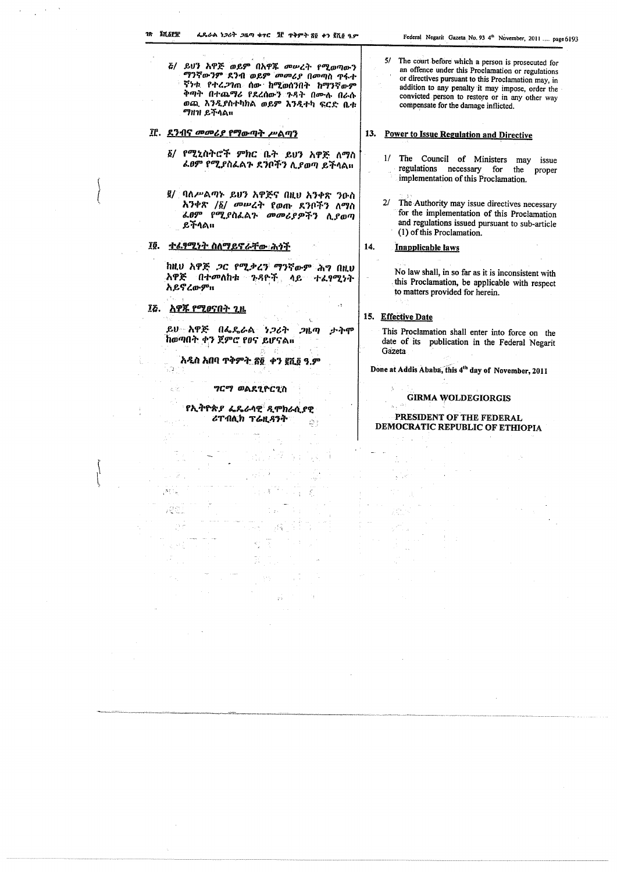- ሯ/ ይህን አዋጅ ወይም በአዋጁ መሠረት የሚወጣውን ማንኛውንም ደንብ ወይም መመሪያ በመጣስ ጥሩት ኛንቱ የተረ*ጋ*ገጠ ሰው ከሚወሰንበት ከማንኛውም ቅጣት በተጨማሪ የደረሰውን ንዳት በሙሉ በራሱ ወጪ እንዲያስተካከል ወይም እንዲተካ ፍርድ ቤቱ ማዘዝ ይችላል።
- If. ደንብና መመሪያ የማውጣት ሥልጣን
	- ፩/ የሚኒስትሮች ምክር ቤት ይህን አዋጅ ለማስ ፌፀም የሚያስፌልጉ ደንቦችን ሊያወጣ ይችላል።
	- ፪/ ባለሥልጣት ይሀን አዋጅና በዚህ ኢንቀጽ ንዑስ አንቀጽ /፩/ መሥረት የወጡ ደንቦችን ለማስ ፌፀም የሚያስፌልጉ መመሪያዎችን ሲያወጣ ይችላል።
- <u>ተፈፃሚነት ስለማይኖራቸው ሕሳች</u> IQ.

ከዚህ አዋጅ ጋር የሚቃረን ማንኛውም ሕግ በዚህ *አዋጅ በተመ*ለከቱ ጉዳዮች ላይ ተፈፃሚነት አይኖረውም።

፲ሯ. <u>አዋጁ የሚወናበት</u> ጊዜ

ይሀ አዋጅ በፌዴራል *ነጋ*ሪት  $2h$ ታትም ከወጣበት ቀን ጀምሮ የፀና ይሆናል።

<u>አዲስ አበባ ጥቅምት ያ፬ ቀን ፪ሺ፬ ዓ.ም</u> ξŨ

ግርማ ወልደጊዮርጊስ

የኢትዮጵ*ያ ፌ*ዴራሳዊ *ዲ*ሞክራሲያዊ ሪፐብሊክ ፕሬዚዳንት 은  $5/$ The court before which a person is prosecuted for an offence under this Proclamation or regulations or directives pursuant to this Proclamation may, in addition to any penalty it may impose, order the convicted person to restore or in any other way compensate for the damage inflicted.

## 13. Power to Issue Regulation and Directive

- 1/ The Council of Ministers may issue regulations necessary for the proper implementation of this Proclamation.
- The Authority may issue directives necessary  $2/$ for the implementation of this Proclamation and regulations issued pursuant to sub-article (1) of this Proclamation.

#### 14. Inapplicable laws

No law shall, in so far as it is inconsistent with this Proclamation, be applicable with respect to matters provided for herein.  $x \cdot \lambda_2 \geq \lambda$ 

## 15. Effective Date

 $\pm\frac{1}{2}$ 

This Proclamation shall enter into force on the date of its publication in the Federal Negarit Gazeta

Done at Addis Ababa, this 4th day of November, 2011

## **GIRMA WOLDEGIORGIS**

## **PRESIDENT OF THE FEDERAL** DEMOCRATIC REPUBLIC OF ETHIOPIA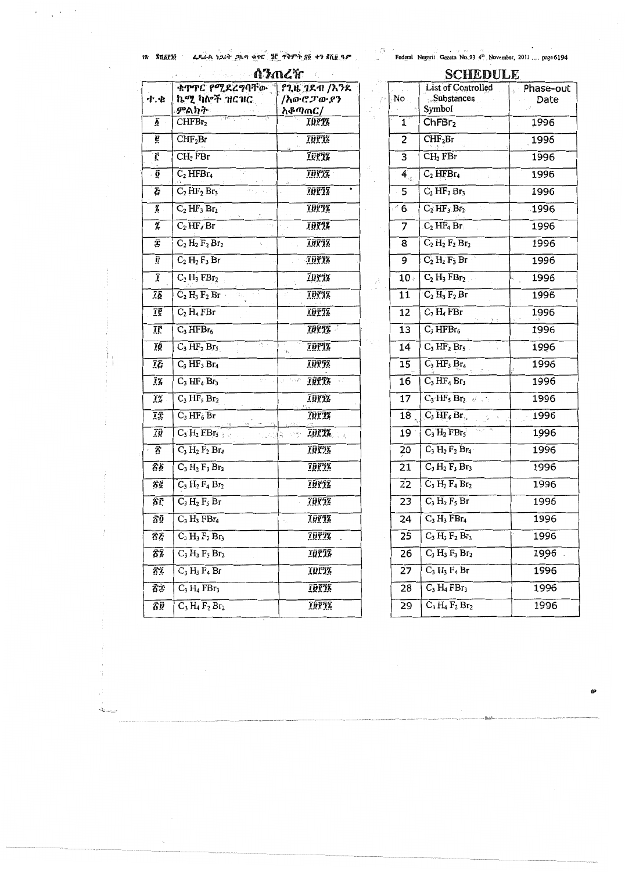$\epsilon$ 

 $\sim$ 

 $\epsilon$ 

 $\label{eq:2} \mathbf{z} = \frac{1}{\sqrt{2\pi}}\left(\mathbf{z}^{\top}\right)^{-1/2}.$ 

 $\frac{1}{2}$  and  $\frac{1}{2}$   $\frac{1}{2}$   $\frac{1}{2}$   $\frac{1}{2}$   $\frac{1}{2}$   $\frac{1}{2}$   $\frac{1}{2}$   $\frac{1}{2}$   $\frac{1}{2}$   $\frac{1}{2}$   $\frac{1}{2}$   $\frac{1}{2}$   $\frac{1}{2}$   $\frac{1}{2}$   $\frac{1}{2}$   $\frac{1}{2}$   $\frac{1}{2}$   $\frac{1}{2}$   $\frac{1}{2}$   $\frac{1}{2}$   $\frac{1}{2$ 

| በንጠሬዠ<br>$\sim$ $\eta_{\rm e}$ $\kappa$<br>πŪ, |                                                                                                                   |                                                          |  |
|------------------------------------------------|-------------------------------------------------------------------------------------------------------------------|----------------------------------------------------------|--|
| ተ.ቁ                                            | ቁጥጥር የሚደረግባቸው "<br>ኬሚ ካሎች ዝርዝር<br>ምልክት                                                                            | የጊዜ ገደብ /እንደ<br>/አውሮፓውያን<br>አቆጣጠር/                       |  |
| ğ                                              | $\frac{1}{2}$ $\frac{1}{2}$ $\frac{1}{2}$ $\frac{1}{2}$ $\frac{1}{2}$ $\frac{1}{2}$<br>نې .<br>CHFBr <sub>2</sub> | 19772                                                    |  |
| ĝ                                              | CHF <sub>2</sub> Br                                                                                               | <u> 1971 -</u>                                           |  |
| Ĉ                                              | $CH2$ FBr                                                                                                         | 10011                                                    |  |
| ĝ                                              | $\mathcal{C}(\mathbb{R}^d)$<br>$\rm{C_2\,HFBr_4}$                                                                 | 70872                                                    |  |
| Ğ                                              | $C_2 H F_2 Br_3$                                                                                                  | 10878                                                    |  |
| Ã                                              | $C_2 H F_3 Br_2$                                                                                                  | 10772                                                    |  |
| Ĩ,                                             | $C_2$ HF <sub>4</sub> Br                                                                                          | 10718                                                    |  |
| Ţ                                              | $C_2$ H <sub>2</sub> F <sub>2</sub> Br <sub>2</sub>                                                               | IQTIT                                                    |  |
| ŷ                                              | $C_2 H_2 F_3 Br$                                                                                                  | 19772                                                    |  |
| Ĩ                                              | $C_2$ H <sub>3</sub> FB $r_2$                                                                                     | 10778                                                    |  |
| Ίδ                                             | $C_2 H_3 F_2 Br$<br>医氧化物 医骨<br>f., .                                                                              | уÝ.<br>10772                                             |  |
| Ţĝ                                             | $C_2$ $H_4$ FBr                                                                                                   | 10712                                                    |  |
| ΪÊ                                             | $C_3 HFBr_6$                                                                                                      | 10752                                                    |  |
| īō                                             | п, .<br>$C_3 HF_2 Br_5$                                                                                           | 19711<br>13g                                             |  |
| ĪĒ                                             | $C_3 HF_3 Br_4$                                                                                                   | 70872                                                    |  |
| ĨÃ                                             | $C_3 HF_4 Br_3$                                                                                                   | <b>Second Second Second Terms</b><br>$\omega_{\rm{eff}}$ |  |
| ĨŹ                                             | $C_3 HF_5 Br_2$                                                                                                   | 10772<br>13.15                                           |  |
| ŢŢ                                             | $C_3 HF_6 Br$                                                                                                     | <b>IDPIE</b>                                             |  |
| ĨŨ                                             | $C_3$ $H_2$ $EBr_5$<br>t. ask                                                                                     | <b>IBPIZ</b><br>i, simp                                  |  |
| ፳                                              | $C_3 H_2 F_2 Br_4$                                                                                                | 19878                                                    |  |
| Âδ                                             | $C_3 H_2 F_3 Br_3$                                                                                                | 19872                                                    |  |
| ፳፪                                             | $C_3 H_2 F_4 Br_2$                                                                                                | 10012                                                    |  |
| ŦГ                                             | $C_3 H_2 F_5 Br$                                                                                                  | <u> 1977S</u>                                            |  |
| Ŝΰ                                             | $C_3 H_3$ FBr <sub>4</sub>                                                                                        | 10118                                                    |  |
| ŜĹ                                             | $C_3 H_3 F_2 Br_3$                                                                                                | 19878                                                    |  |
| ፳፮                                             | $C_3 H_3 F_3 Br_2$                                                                                                | <b><i>זַפְּקַּדַּ</i></b>                                |  |
| Ã7.                                            | $C_3 H_3 F_4 Br$                                                                                                  | 10011                                                    |  |
| ጽ፰                                             | $C_3 H_4$ FBr <sub>3</sub>                                                                                        | 19878                                                    |  |
| ŜŨ                                             | $C_3 H_4 F_2 Br_2$                                                                                                | 19872                                                    |  |

| SCHEDULE                  |                                                                   |                          |
|---------------------------|-------------------------------------------------------------------|--------------------------|
| No                        | List of Controlled<br><b>Substances</b>                           | Phase-out<br>vb.<br>Date |
|                           | Symbol                                                            |                          |
| $\mathbf{1}^{\mathbf{v}}$ | ChFBr <sub>2</sub>                                                | 1996                     |
| 2                         | CHF <sub>2</sub> Br                                               | 1996                     |
| 3                         | $CH2$ FBr                                                         | 1996                     |
| 4 <sup>1</sup>            | $C_2 HFBr_4$                                                      | 1996                     |
| 5                         | $C_2 HF_2 Br_3$                                                   | 1996                     |
| $\leq 6$                  | $C_2$ HF <sub>3</sub> Br <sub>2</sub>                             | $-1996$                  |
| 7                         | $\mathbb{C}_2$ HF <sub>4</sub> Br                                 | 1996                     |
| 8                         | $C_2 H_2 F_2 Br_2$                                                | 1996                     |
| 9                         | $C_2$ $H_2$ $F_3$ Br                                              | 1996                     |
| 10:                       | $C_2 H_3 FBr_2$                                                   | 1996<br>E,               |
| 11                        | $C_2 H_3 F_2 Br$                                                  | 1996                     |
| 12                        | $C_2$ $H_4$ FBr                                                   | 1996                     |
| 13                        | $C_3 HFBr_6$                                                      | 1996                     |
| 14                        | $C_3 HF_2 Br_5$                                                   | 1996                     |
| 15                        | $C_3 HF_3 Br_4$                                                   | 1996                     |
| 16                        | $C_3$ HF <sub>4</sub> Br <sub>3</sub>                             | 1996                     |
| 17                        | $C_3$ $HF_5$ $Br_2$ and $F_3$                                     | 1996                     |
|                           | $18 \int_{\mathbb{R}} C_3 \mathrm{HF}_6 \mathrm{Br}_{\mathbb{R}}$ | 1996                     |
| 19                        | $C_3 H_2$ FBr $_5$                                                | 1996                     |
| 20                        | $C_3 H_2 F_2 Br_4$                                                | 1996                     |
| 21                        | $C_3 H_2 F_3 Br_3$                                                | 1996                     |
| 22                        | $C_3 H_2 F_4 Br_2$                                                | 1996                     |
| 23                        | $C_3 H_2 F_5 Br$                                                  | 1996                     |
| 24                        | $C_3 H_3 FBr_4$                                                   | 1996                     |
| 25                        | $C_3 H_3 F_2 Br_3$                                                | 1996                     |
| 26                        | $C_3 H_3 F_3 Br_2$                                                | 1996                     |
| 27                        | $C_3 H_3 F_4 Br$                                                  | 1996                     |
| 28                        | $C_3 H_4 FBr_3$                                                   | 1996                     |
| 29                        | $C_3 H_4 F_2 Br_2$                                                | 1996                     |
|                           |                                                                   |                          |



 $\mathcal{L}^{\text{max}}_{\text{max}}$  ,  $\mathcal{L}^{\text{max}}_{\text{max}}$ 

 $\sim$   $\sqrt{s}$ 

 $\pm$ 

 $\pm$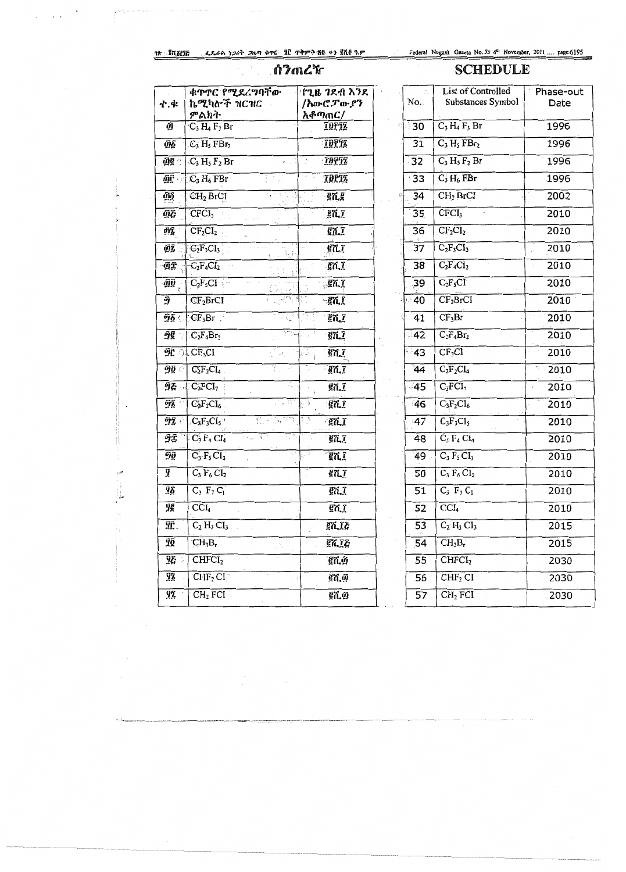## ሰንጠረዥ

## Federal Negarit Gazeta No. 93 4th November, 2011 .... page 6195

## **SCHEDULE**

| ተ.ቁ             | ቁዋዋር የሚደረግባቸው<br>ኬሚካሎች ዝርዝር<br>ምልክት                                                                                    | <u>የጊዜ ገደብ እንደ</u><br>/አውሮፓውያን<br><u>አቆጣጠር/</u> |
|-----------------|------------------------------------------------------------------------------------------------------------------------|-------------------------------------------------|
| ញ៉              | $C_3H_4F_3Br$                                                                                                          | <b>IDPIL</b>                                    |
| ĝδ              | $C_3$ H <sub>5</sub> FB $r_2$                                                                                          | <b>THITE</b>                                    |
| <u> ମିହୁ</u> ୍ର | $C_3H_5F_2Br$                                                                                                          | <b>TBYTZ</b>                                    |
| <u>йŗ</u>       | $\mathbb{C}_3 H_6$ FBr                                                                                                 | <b>THETE</b>                                    |
| ДQ              | CH <sub>2</sub> BrCI                                                                                                   | ፪ሺ፪                                             |
| ДĒ              | CFCI <sub>3</sub>                                                                                                      | ፪ሺ፲                                             |
| ติริ            | $CF_2CI_2$                                                                                                             | ፪ሲ፲                                             |
| ติริ            | $C_2F_3CI_3$<br>ਜ਼ਿ                                                                                                    | gni                                             |
| ДŦ              | $C_2F_4Cl_2$<br>$\hat{\Sigma}$                                                                                         | ቜሺ፲                                             |
| ДŪ              | $C_2F_5CF$<br>Dan sej                                                                                                  | $\mathbb{R}$ ñ.]                                |
| Ŷ               | CF <sub>2</sub> BrCl                                                                                                   | $\epsilon$ nt                                   |
|                 | $96$ CF <sub>3</sub> Br<br>i,                                                                                          | en I                                            |
|                 | $C_2F_4Br_2$                                                                                                           | ፪ሺ፲                                             |
|                 | $\mathfrak{R} \oplus \mathbb{C} F_3CF_1$                                                                               | $g_{\Lambda}$<br>الي الج                        |
| 90 C            | tt,<br>$C_2F_2Cl_4$                                                                                                    | $\epsilon$ , $\epsilon$                         |
| ሟሯ              | $\subset \subset \subset I_7$<br>÷.,                                                                                   | ፪ሺ፲                                             |
|                 | 13 F<br>$92 \cap \text{C}_3\text{F}_2\text{Cl}_6$                                                                      | $\epsilon$ $\bar{a}$<br>j.                      |
| 97. O           | $C_3F_3CI_5$<br>한 고등력이                                                                                                 | ፞፪ሺ፲                                            |
|                 | $9\frac{1}{2}$ C <sub>3</sub> F <sub>4</sub> C <sub>4</sub><br>$\sim$ $\sim$ $\sim$<br>$\frac{1}{2}$ , $\frac{1}{2}$ , | ፟፪ሺ፲                                            |
| ŶŨ              | 47<br>$C_3$ $F_5$ $Cl_3$                                                                                               | <b>ETLI</b><br>U F                              |
| ÿ               | $C_3 F_6 CI_2$                                                                                                         | ፪ሺ፲                                             |
| Ÿδ              | $C_3$ $F_7 C_1$                                                                                                        | ፪ሺ፲                                             |
| ŷĝ              | $\overline{CCL}$                                                                                                       | ፪ሺ፲                                             |
| ŸĈ.             | $C_2$ H <sub>3</sub> $Cl_3$                                                                                            | ፪ሺ፲ሯ                                            |
| ŸÕ              | $CH_3B_r$                                                                                                              | ፪ሺ፲ሯ                                            |
| 9& *            | CHFCI <sub>2</sub>                                                                                                     | ፞፪ሺ፴                                            |
| ŸŹ              | CHF <sub>2</sub> Cl <sub>1</sub>                                                                                       | ፪ሺወ                                             |
| ŸŹ              | $CH2$ FCI                                                                                                              | ፪ሺ፴                                             |

 $\mathcal{L}_{\bullet}$ 

|                 | List of Controlled       | Phase-out                      |
|-----------------|--------------------------|--------------------------------|
| No.             | Substances Symbol        | Date                           |
|                 |                          |                                |
| ් 30            | $C_3H_4F_3Br$            | 1996                           |
| 31              | $C_3 H_5 FBr_2$          | 1996                           |
| 32              | $C_3 H_5 F_2 Br$         | 1996                           |
| 33              | $C_3$ H <sub>6</sub> FBr | 1996                           |
| 34              | CH <sub>2</sub> BrCI     | 2002                           |
| 35              | CFCI <sub>3</sub>        | 2010                           |
| 36              | $CF_2CI_2$               | 2010                           |
| $\overline{37}$ | $C_2F_3CI_3$             | 2010                           |
| 38              | $C_2F_4CI_2$             | 2010                           |
| 39              | $C_2F_5CI$               | 2010                           |
| $-40$           | $CF_2BrCI$               | 2010                           |
| 41              | $CF_3Br$                 | $\hat{f} \neq \hat{f}$<br>2010 |
| $-42$           | $C_2F_4Br_2$             | 2010                           |
| $-43$           | CF <sub>3</sub> CI       | 2010                           |
| 44              | $C_2F_2CL_4$             | 2010                           |
| 45              | $C_3FCI_7$               | 2010<br>- 5                    |
| 46              | $C_3F_2Cl_6$             | 2010                           |
| 47              | $C_3F_3CI_5$             | 2010                           |
| 48              | $C_3 F_4 C I_4$          | 2010                           |
| 49              | $C_3 F_5 C I_3$          | 2010                           |
| 50              | $C_3 F_6 Cl_2$           | 2010                           |
| 51              | $C_3 F_7 C_1$            | 2010                           |
| 52              | CCI <sub>4</sub>         | 2010                           |
| 53              | $C_2$ $H_3$ $CI_3$       | 2015                           |
| 54              | $CH_3B_1$                | 2015                           |
| 55              | CHFCI <sub>2</sub>       | 2030                           |
| 56              | CHF <sub>2</sub> CI      | 2030                           |
| 57              | $CH2$ FCI                | 2030                           |

 $\mathbf{X}^{(n)}$  . 

 $\frac{1}{2}$  $\sim 100$  km s  $^{-1}$  m s  $^{-1}$ 

 $\sim$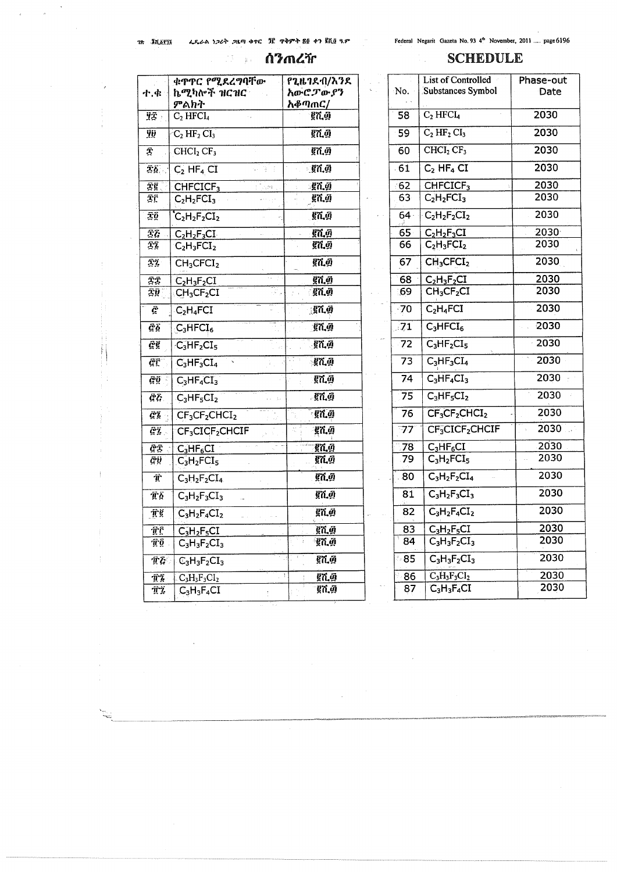$\mathcal{L}(\mathcal{L}^{\mathcal{L}})$  and  $\mathcal{L}^{\mathcal{L}}$  . In the  $\mathcal{L}^{\mathcal{L}}$ 

## **Alander Contract Contract Contract Contract Contract Contract Contract Contract Contract Contract Contract Co**

Federal Negarit Gazeta No. 93 4th November, 2011 .... page 6196

 $\tilde{\mathcal{A}}_{\text{max}}$ 

## **SCHEDULE**

|                                                                      | ቁጥጥር የሚደረማባቸው                                    | የጊዜገደብ/እንደ                                |
|----------------------------------------------------------------------|--------------------------------------------------|-------------------------------------------|
| ተ.ቁ                                                                  | ኬሚካሎች ዝርዝር                                       | አውሮፓውያን                                   |
|                                                                      | ምልክት                                             | አቆጣጠር/                                    |
| YT :                                                                 | $C_2$ HFCI <sub>4</sub>                          | めんじょう そうしゃ そうしゃ そうしゃ そうしゃ そうしゃ そうしゃ そうしょう |
| Ÿij                                                                  | $\overline{C}_2$ HF <sub>2</sub> CI <sub>3</sub> | ፪ሺ፴                                       |
| Î                                                                    | CHCI <sub>2</sub> CF <sub>3</sub>                | ፪ሺ፴                                       |
| ፰፩ .                                                                 | $C_2$ HF <sub>4</sub> CI<br>- 座三目                | ୍টପ,ঐ                                     |
| īĝ                                                                   | CHFCICF <sub>3</sub><br>Safet Li                 | <u>្វើពណ្ណឺ</u>                           |
| ΣË                                                                   | $C_2H_2FCI_3$                                    | ፪ሺ.፴                                      |
| ΞÔ                                                                   | $C_2H_2F_2CI_2$                                  | ፪ሺ፴                                       |
| Ξł                                                                   | $C_2H_2F_3CI_2$                                  | ទ្ទិក ភ្ន                                 |
| īī                                                                   | $C_2H_3FCI_2$                                    | ፪ሺ፴                                       |
| 22                                                                   | $CH_3CFCI_2$                                     | ፪ሺ፴                                       |
| ŦĪ                                                                   | $C_2H_3F_2CI$                                    | ፪ሺ፴                                       |
| ΣØ                                                                   | $\mathsf{CH}_3\mathsf{CF}_2\mathsf{CI}$          | ፪ሺ፴                                       |
| Ë                                                                    | $C_2H_4FCI$                                      | ្ត្រី7 ហ្គ                                |
| ĊЬ                                                                   | na.<br>$C_3HFCI_6$                               | ፪ሺ፴                                       |
| ĝĝ                                                                   | $C_3HF_2CI_5$                                    | 红面                                        |
| ĢΓ                                                                   | $C_3HF_3CI_4$                                    | <u>្ញវិញ ភ្នំ</u>                         |
| Ĝ0                                                                   | $C_3HF_4CI_3$                                    | ፪ሺ፴                                       |
| $\tilde{\mathcal{C}}\tilde{\mathcal{G}}$                             | $C_3HF_5CI_2$                                    | . ខ្ពក ភូ                                 |
| <u>ĜĮ</u>                                                            | $CF3CF2CHCI2$                                    | <b>្</b> ខុក.ហ្គ                          |
| ĝż.                                                                  | CF <sub>3</sub> CICF <sub>2</sub> CHCIF          | ፪ሺ፴                                       |
| ĝī                                                                   | $C_3HF_6CI$                                      | ፪ሺ.፴                                      |
| @ij                                                                  | $C_3H_2FCI_5$                                    | ፪ሺ፴                                       |
| $\ddot{\pmb{T}}$                                                     | $C_3H_2F_2CI_4$                                  | ፪ሺወ                                       |
| Tδ                                                                   | $C_3H_2F_3CI_3$                                  | ፪ሺ፴                                       |
| Пğ                                                                   | $C_3H_2F_4Cl_2$                                  | ፪ሺ፴                                       |
| πć                                                                   | $C_3H_2F_5CI$                                    | ፪ሺ፴                                       |
| πõ                                                                   | $C_3H_3F_2CI_3$                                  | ፟ቔሺ፴                                      |
| $\widehat{\mathbf{T}}$ $\widehat{\mathbf{G}}$ $\widehat{\mathbf{T}}$ | $\mathbb{C}_3H_3F_2CI_3$                         | ፪ሺ፴                                       |
| ПŹ                                                                   | $C_3H_3F_3Cl_2$                                  | ţ<br>፪ሺ፴                                  |
| ÛΪ.                                                                  | $C_3H_3F_4CI$                                    | ፪ሺ፴                                       |

|                 | List of Controlled                | Phase-out |
|-----------------|-----------------------------------|-----------|
| No.             | Substances Symbol                 | Date      |
| 58              | $C_2 HFCI_4$                      | 2030      |
| 59              | $C_2 HF_2 CI_3$                   | 2030      |
| 60              | CHCI <sub>2</sub> CF <sub>3</sub> | 2030      |
| 61              | $C_2$ HF <sub>4</sub> CI          | 2030      |
| ි62             | CHFCICF <sub>3</sub>              | 2030      |
| 63              | $C_2H_2FCI_3$                     | 2030      |
| 64 <sup>°</sup> | $-C_2H_2F_2CI_2$                  | 2030      |
| 65 <sub>1</sub> | $C_2H_2F_3CI$                     | 2030      |
| 66              | $C_2H_3FCI_2$                     | 2030      |
| 67              | CH <sub>3</sub> CFCI <sub>2</sub> | 2030      |
| 68              | $C_2H_3F_2CI$                     | 2030      |
| :69             | $CH_3CF_2CI$                      | 2030      |
| $-70$           | $C_2H_4FCI$                       | 2030      |
| 71              | $C_3$ HFCI <sub>6</sub>           | 2030      |
| 72              | $C_3HF_2CI_5$                     | 2030      |
| 73              | $C_3HF_3CI_4$                     | 2030      |
| 74              | $C_3HF_4CI_3$                     | 2030      |
| 75              | $C_3HF_5CI_2$                     | 2030      |
| 76              | $CF_3CF_2CHCI_2$                  | 2030      |
| 77              | CF3CICF2CHCIF                     | 2030      |
| 78              | $C_3HF_6CI$                       | 2030      |
| 79              | $C_3H_2FCI_5$                     | 2030      |
| 80              | $C_3H_2F_2Cl_4$                   | 2030      |
| 81              | $C_3H_2F_3CI_3$                   | 2030      |
| 82              | $C_3H_2F_4CI_2$                   | 2030      |
| 83              | $C_3H_2F_5CI$                     | 2030      |
| 84              | $C_3H_3F_2CI_3$                   | 2030      |
| 85              | $C_3H_3F_2CI_3$                   | 2030      |
| 86              | $C_3H_3F_3CI_2$                   | 2030      |
| 87              | $C_3H_3F_4CI$                     | 2030      |
|                 |                                   |           |